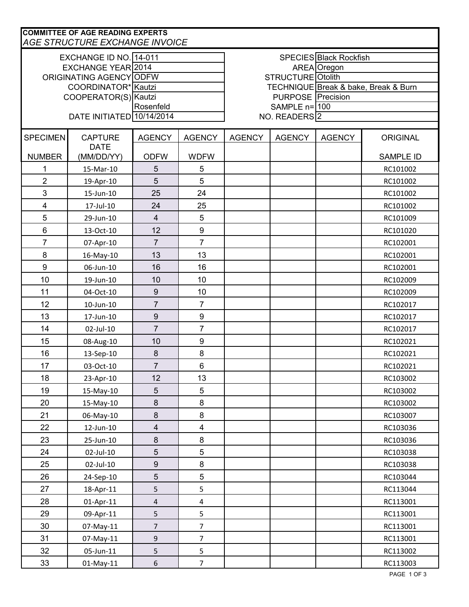| <b>COMMITTEE OF AGE READING EXPERTS</b><br><b>AGE STRUCTURE EXCHANGE INVOICE</b> |                           |                  |                                      |                               |               |               |                  |  |
|----------------------------------------------------------------------------------|---------------------------|------------------|--------------------------------------|-------------------------------|---------------|---------------|------------------|--|
| EXCHANGE ID NO. 14-011                                                           |                           |                  |                                      | <b>SPECIES Black Rockfish</b> |               |               |                  |  |
| EXCHANGE YEAR 2014                                                               |                           |                  | AREA Oregon                          |                               |               |               |                  |  |
| ORIGINATING AGENCY ODFW                                                          |                           |                  |                                      | STRUCTURE Otolith             |               |               |                  |  |
| COORDINATOR* Kautzi                                                              |                           |                  | TECHNIQUE Break & bake, Break & Burn |                               |               |               |                  |  |
| COOPERATOR(S) Kautzi                                                             |                           |                  | <b>PURPOSE</b> Precision             |                               |               |               |                  |  |
| Rosenfeld                                                                        |                           |                  | SAMPLE $n=100$                       |                               |               |               |                  |  |
| DATE INITIATED 10/14/2014<br>NO. READERS <sup>2</sup>                            |                           |                  |                                      |                               |               |               |                  |  |
| <b>SPECIMEN</b>                                                                  | <b>CAPTURE</b>            | <b>AGENCY</b>    | <b>AGENCY</b>                        | <b>AGENCY</b>                 | <b>AGENCY</b> | <b>AGENCY</b> | <b>ORIGINAL</b>  |  |
| <b>NUMBER</b>                                                                    | <b>DATE</b><br>(MM/DD/YY) | <b>ODFW</b>      | <b>WDFW</b>                          |                               |               |               | <b>SAMPLE ID</b> |  |
| 1                                                                                | 15-Mar-10                 | 5                | 5                                    |                               |               |               | RC101002         |  |
| $\overline{2}$                                                                   | 19-Apr-10                 | 5                | $\overline{5}$                       |                               |               |               | RC101002         |  |
| $\mathfrak{S}$                                                                   | 15-Jun-10                 | 25               | 24                                   |                               |               |               | RC101002         |  |
| $\overline{\mathbf{4}}$                                                          | 17-Jul-10                 | 24               | 25                                   |                               |               |               | RC101002         |  |
| 5                                                                                | 29-Jun-10                 | $\overline{4}$   | $\overline{5}$                       |                               |               |               | RC101009         |  |
| $\,6\,$                                                                          | 13-Oct-10                 | 12               | $\boldsymbol{9}$                     |                               |               |               | RC101020         |  |
| $\overline{7}$                                                                   | 07-Apr-10                 | $\overline{7}$   | $\overline{7}$                       |                               |               |               | RC102001         |  |
| 8                                                                                | 16-May-10                 | 13               | 13                                   |                               |               |               | RC102001         |  |
| 9                                                                                | 06-Jun-10                 | 16               | 16                                   |                               |               |               | RC102001         |  |
| 10                                                                               | 19-Jun-10                 | 10               | 10                                   |                               |               |               | RC102009         |  |
| 11                                                                               | 04-Oct-10                 | $\boldsymbol{9}$ | 10                                   |                               |               |               | RC102009         |  |
| 12                                                                               | 10-Jun-10                 | $\overline{7}$   | $\overline{7}$                       |                               |               |               | RC102017         |  |
| 13                                                                               | 17-Jun-10                 | $\boldsymbol{9}$ | $\boldsymbol{9}$                     |                               |               |               | RC102017         |  |
| 14                                                                               | 02-Jul-10                 | $\overline{7}$   | $\overline{7}$                       |                               |               |               | RC102017         |  |
| 15                                                                               | 08-Aug-10                 | 10               | $\boldsymbol{9}$                     |                               |               |               | RC102021         |  |
| 16                                                                               | 13-Sep-10                 | $\bf 8$          | 8                                    |                               |               |               | RC102021         |  |
| 17                                                                               | 03-Oct-10                 | $\overline{7}$   | $6\phantom{1}$                       |                               |               |               | RC102021         |  |
| 18                                                                               | 23-Apr-10                 | 12               | 13                                   |                               |               |               | RC103002         |  |
| 19                                                                               | 15-May-10                 | 5                | 5                                    |                               |               |               | RC103002         |  |
| 20                                                                               | 15-May-10                 | $\,8\,$          | 8                                    |                               |               |               | RC103002         |  |
| 21                                                                               | 06-May-10                 | $\,8\,$          | 8                                    |                               |               |               | RC103007         |  |
| 22                                                                               | 12-Jun-10                 | $\overline{4}$   | $\overline{\mathbf{4}}$              |                               |               |               | RC103036         |  |
| 23                                                                               | 25-Jun-10                 | $\,8\,$          | 8                                    |                               |               |               | RC103036         |  |
| 24                                                                               | 02-Jul-10                 | $\sqrt{5}$       | $\overline{5}$                       |                               |               |               | RC103038         |  |
| 25                                                                               | 02-Jul-10                 | $\boldsymbol{9}$ | 8                                    |                               |               |               | RC103038         |  |
| 26                                                                               | 24-Sep-10                 | $\sqrt{5}$       | $\overline{5}$                       |                               |               |               | RC103044         |  |
| 27                                                                               | 18-Apr-11                 | 5                | 5                                    |                               |               |               | RC113044         |  |
| 28                                                                               | 01-Apr-11                 | $\overline{4}$   | $\overline{4}$                       |                               |               |               | RC113001         |  |
| 29                                                                               | 09-Apr-11                 | 5                | 5                                    |                               |               |               | RC113001         |  |
| 30                                                                               | 07-May-11                 | $\overline{7}$   | $\overline{7}$                       |                               |               |               | RC113001         |  |
| 31                                                                               | 07-May-11                 | $\boldsymbol{9}$ | $\overline{7}$                       |                               |               |               | RC113001         |  |
| 32                                                                               | 05-Jun-11                 | 5                | 5                                    |                               |               |               | RC113002         |  |
| 33                                                                               | $01$ -May-11              | $\boldsymbol{6}$ | $\overline{7}$                       |                               |               |               | RC113003         |  |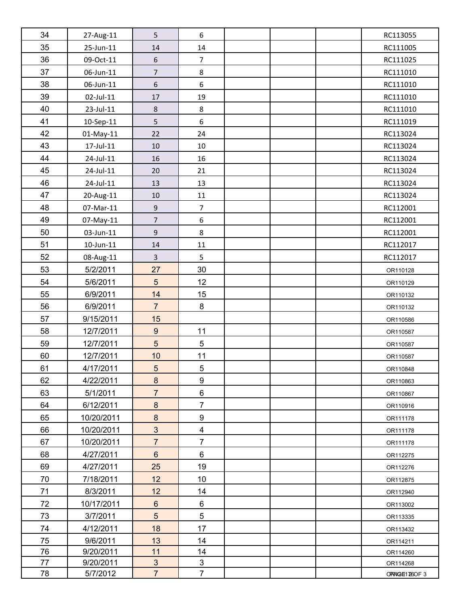| 34 | 27-Aug-11       | 5                | 6                       |  | RC113055       |
|----|-----------------|------------------|-------------------------|--|----------------|
| 35 | 25-Jun-11       | 14               | 14                      |  | RC111005       |
| 36 | 09-Oct-11       | $\boldsymbol{6}$ | $\overline{7}$          |  | RC111025       |
| 37 | 06-Jun-11       | $\overline{7}$   | $\,8\,$                 |  | RC111010       |
| 38 | 06-Jun-11       | $\sqrt{6}$       | 6                       |  | RC111010       |
| 39 | 02-Jul-11       | 17               | 19                      |  | RC111010       |
| 40 | 23-Jul-11       | $\,8\,$          | 8                       |  | RC111010       |
| 41 | 10-Sep-11       | $\overline{5}$   | $\boldsymbol{6}$        |  | RC111019       |
| 42 | $01$ -May-11    | 22               | 24                      |  | RC113024       |
| 43 | 17-Jul-11       | 10               | 10                      |  | RC113024       |
| 44 | 24-Jul-11       | 16               | 16                      |  | RC113024       |
| 45 | 24-Jul-11       | 20               | 21                      |  | RC113024       |
| 46 | 24-Jul-11       | 13               | 13                      |  | RC113024       |
| 47 | 20-Aug-11       | $10\,$           | 11                      |  | RC113024       |
| 48 | 07-Mar-11       | $\boldsymbol{9}$ | $\boldsymbol{7}$        |  | RC112001       |
| 49 | 07-May-11       | $\overline{7}$   | $\boldsymbol{6}$        |  | RC112001       |
| 50 | 03-Jun-11       | $\boldsymbol{9}$ | $\,8\,$                 |  | RC112001       |
| 51 | $10$ -Jun- $11$ | 14               | 11                      |  | RC112017       |
| 52 | 08-Aug-11       | $\overline{3}$   | 5                       |  | RC112017       |
| 53 | 5/2/2011        | 27               | 30                      |  | OR110128       |
| 54 | 5/6/2011        | $5\phantom{.}$   | 12                      |  | OR110129       |
| 55 | 6/9/2011        | 14               | 15                      |  | OR110132       |
| 56 | 6/9/2011        | $\overline{7}$   | $\bf 8$                 |  | OR110132       |
| 57 | 9/15/2011       | 15               |                         |  | OR110586       |
| 58 | 12/7/2011       | $\boldsymbol{9}$ | 11                      |  | OR110587       |
| 59 | 12/7/2011       | $\overline{5}$   | 5                       |  | OR110587       |
| 60 | 12/7/2011       | 10               | 11                      |  | OR110587       |
| 61 | 4/17/2011       | $\overline{5}$   | 5                       |  | OR110848       |
| 62 | 4/22/2011       | $\bf 8$          | 9                       |  | OR110863       |
| 63 | 5/1/2011        | $\overline{7}$   | 6                       |  | OR110867       |
| 64 | 6/12/2011       | $\bf 8$          | $\overline{7}$          |  | OR110916       |
| 65 | 10/20/2011      | $\boldsymbol{8}$ | 9                       |  | OR111178       |
| 66 | 10/20/2011      | $\mathbf{3}$     | $\overline{\mathbf{4}}$ |  | OR111178       |
| 67 | 10/20/2011      | $\overline{7}$   | $\overline{7}$          |  | OR111178       |
| 68 | 4/27/2011       | $6\phantom{1}$   | 6                       |  | OR112275       |
| 69 | 4/27/2011       | 25               | 19                      |  | OR112276       |
| 70 | 7/18/2011       | 12               | 10                      |  | OR112875       |
| 71 | 8/3/2011        | 12               | 14                      |  | OR112940       |
| 72 | 10/17/2011      | $6\,$            | 6                       |  | OR113002       |
| 73 | 3/7/2011        | 5                | 5                       |  | OR113335       |
| 74 | 4/12/2011       | 18               | 17                      |  | OR113432       |
| 75 | 9/6/2011        | 13               | 14                      |  | OR114211       |
| 76 | 9/20/2011       | 11               | 14                      |  | OR114260       |
| 77 | 9/20/2011       | $\mathbf{3}$     | 3                       |  | OR114268       |
| 78 | 5/7/2012        | $\overline{7}$   | $\overline{7}$          |  | OPPAIGE1726OF3 |